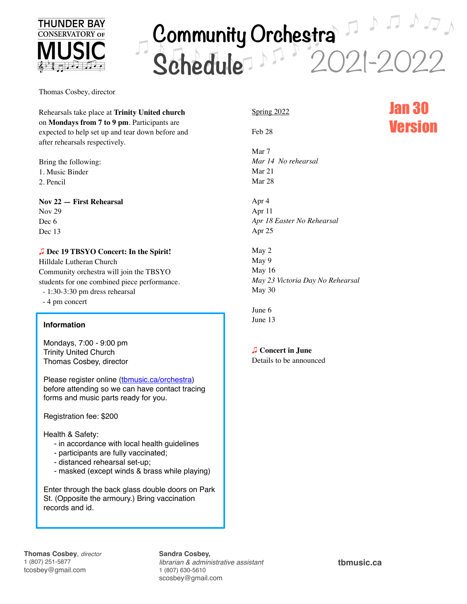

# 2021-2022 **Community Orchestra Schedule**

Thomas Cosbey, director

Rehearsals take place at **Trinity United church**  on **Mondays from 7 to 9 pm**. Participants are expected to help set up and tear down before and after rehearsals respectively.

Bring the following: 1. Music Binder 2. Pencil

#### **Nov 22 — First Rehearsal**

Nov 29 Dec 6 Dec 13

#### !"**Dec 19 TBSYO Concert: In the Spirit!**

Hilldale Lutheran Church Community orchestra will join the TBSYO students for one combined piece performance.

- 1:30-3:30 pm dress rehearsal
- 4 pm concert

#### **Information**

Mondays, 7:00 - 9:00 pm Trinity United Church Thomas Cosbey, director

Please register online (thmusic.ca/orchestra) before attending so we can have contact tracing forms and music parts ready for you.

Registration fee: \$200

Health & Safety:

- in accordance with local health guidelines
- participants are fully vaccinated;
- distanced rehearsal set-up;
- masked (except winds & brass while playing)

Enter through the back glass double doors on Park St. (Opposite the armoury.) Bring vaccination records and id.

### Spring 2022

Feb 28

Mar 7 *Mar 14 No rehearsal* Mar 21 Mar 28

Apr 4 Apr 11 *Apr 18 Easter No Rehearsal* Apr 25

May 2 May 9 May 16 *May 23 Victoria Day No Rehearsal* May 30

June 6 June 13

#### **D** Concert in June

Details to be announced

## Jan 30 Version

**Thomas Cosbey**, *director* 1 (807) 251-5877 tcosbey@gmail.com

**Sandra Cosbey,** *librarian & administrative assistant* 1 (807) 630-5610 scosbey@gmail.com

**[tbmusic.ca](http://tbmusic.ca)**